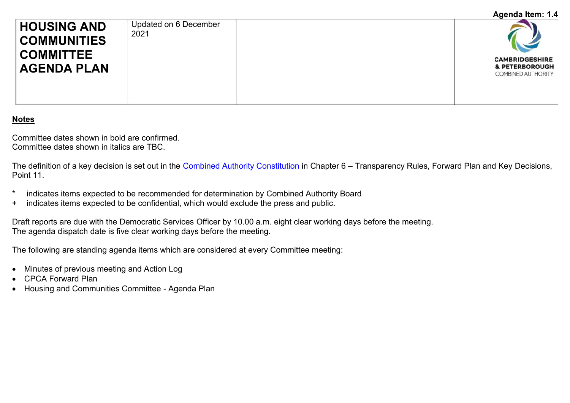## **Agenda Item: 1.4**

| <b>HOUSING AND</b><br><b>COMMUNITIES</b><br><b>COMMITTEE</b><br><b>AGENDA PLAN</b> | Updated on 6 December<br>2021 | <b>CAMBRIDGESHIRE</b><br>& PETERBOROUGH |
|------------------------------------------------------------------------------------|-------------------------------|-----------------------------------------|
|                                                                                    |                               | COMBINED AUTHORITY                      |

## **Notes**

Committee dates shown in bold are confirmed. Committee dates shown in italics are TBC.

The definition of a key decision is set out in the [Combined Authority Constitution](http://cambridgeshirepeterborough-ca.gov.uk/assets/Uploads/CPCA-Constitution-.pdf) in Chapter 6 – Transparency Rules, Forward Plan and Key Decisions, Point 11.

- \* indicates items expected to be recommended for determination by Combined Authority Board
- + indicates items expected to be confidential, which would exclude the press and public.

Draft reports are due with the Democratic Services Officer by 10.00 a.m. eight clear working days before the meeting. The agenda dispatch date is five clear working days before the meeting.

The following are standing agenda items which are considered at every Committee meeting:

- Minutes of previous meeting and Action Log
- CPCA Forward Plan
- Housing and Communities Committee Agenda Plan